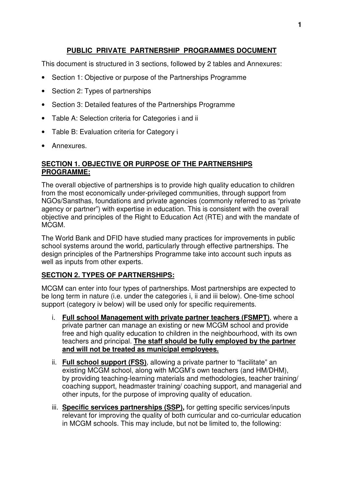# **PUBLIC PRIVATE PARTNERSHIP PROGRAMMES DOCUMENT**

This document is structured in 3 sections, followed by 2 tables and Annexures:

- Section 1: Objective or purpose of the Partnerships Programme
- Section 2: Types of partnerships
- Section 3: Detailed features of the Partnerships Programme
- Table A: Selection criteria for Categories i and ii
- Table B: Evaluation criteria for Category i
- Annexures.

# **SECTION 1. OBJECTIVE OR PURPOSE OF THE PARTNERSHIPS PROGRAMME:**

The overall objective of partnerships is to provide high quality education to children from the most economically under-privileged communities, through support from NGOs/Sansthas, foundations and private agencies (commonly referred to as "private agency or partner") with expertise in education. This is consistent with the overall objective and principles of the Right to Education Act (RTE) and with the mandate of MCGM.

The World Bank and DFID have studied many practices for improvements in public school systems around the world, particularly through effective partnerships. The design principles of the Partnerships Programme take into account such inputs as well as inputs from other experts.

# **SECTION 2. TYPES OF PARTNERSHIPS:**

MCGM can enter into four types of partnerships. Most partnerships are expected to be long term in nature (i.e. under the categories i, ii and iii below). One-time school support (category iv below) will be used only for specific requirements.

- i. **Full school Management with private partner teachers (FSMPT)**, where a private partner can manage an existing or new MCGM school and provide free and high quality education to children in the neighbourhood, with its own teachers and principal. **The staff should be fully employed by the partner and will not be treated as municipal employees.**
- ii. **Full school support (FSS)**, allowing a private partner to "facilitate" an existing MCGM school, along with MCGM's own teachers (and HM/DHM), by providing teaching-learning materials and methodologies, teacher training/ coaching support, headmaster training/ coaching support, and managerial and other inputs, for the purpose of improving quality of education.
- iii. **Specific services partnerships (SSP),** for getting specific services/inputs relevant for improving the quality of both curricular and co-curricular education in MCGM schools. This may include, but not be limited to, the following: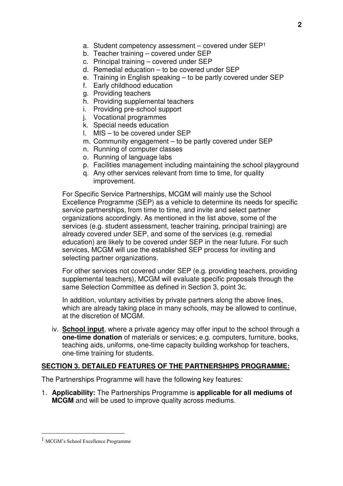- a. Student competency assessment covered under SEP1
- b. Teacher training covered under SEP
- c. Principal training covered under SEP
- d. Remedial education to be covered under SEP
- e. Training in English speaking to be partly covered under SEP
- f. Early childhood education
- g. Providing teachers
- h. Providing supplemental teachers
- i. Providing pre-school support
- j. Vocational programmes
- k. Special needs education
- l. MIS to be covered under SEP
- m. Community engagement to be partly covered under SEP
- n. Running of computer classes
- o. Running of language labs
- p. Facilities management including maintaining the school playground
- q. Any other services relevant from time to time, for quality improvement.

For Specific Service Partnerships, MCGM will mainly use the School Excellence Programme (SEP) as a vehicle to determine its needs for specific service partnerships, from time to time, and invite and select partner organizations accordingly. As mentioned in the list above, some of the services (e.g. student assessment, teacher training, principal training) are already covered under SEP, and some of the services (e.g. remedial education) are likely to be covered under SEP in the near future. For such services, MCGM will use the established SEP process for inviting and selecting partner organizations.

For other services not covered under SEP (e.g. providing teachers, providing supplemental teachers), MCGM will evaluate specific proposals through the same Selection Committee as defined in Section 3, point 3c.

In addition, voluntary activities by private partners along the above lines, which are already taking place in many schools, may be allowed to continue, at the discretion of MCGM.

iv. **School input**, where a private agency may offer input to the school through a **one-time donation** of materials or services; e.g. computers, furniture, books, teaching aids, uniforms, one-time capacity building workshop for teachers, one-time training for students.

# **SECTION 3. DETAILED FEATURES OF THE PARTNERSHIPS PROGRAMME:**

The Partnerships Programme will have the following key features:

1. **Applicability:** The Partnerships Programme is **applicable for all mediums of MCGM** and will be used to improve quality across mediums.

 $\overline{a}$ 

<sup>1</sup> MCGM's School Excellence Programme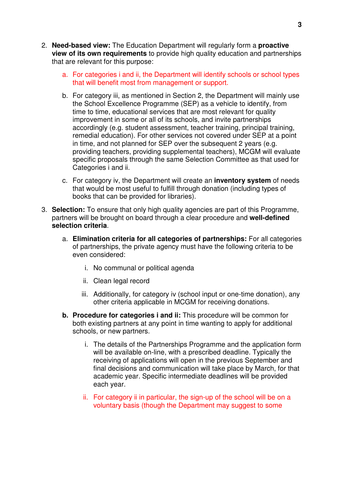- 2. **Need-based view:** The Education Department will regularly form a **proactive view of its own requirements** to provide high quality education and partnerships that are relevant for this purpose:
	- a. For categories i and ii, the Department will identify schools or school types that will benefit most from management or support.
	- b. For category iii, as mentioned in Section 2, the Department will mainly use the School Excellence Programme (SEP) as a vehicle to identify, from time to time, educational services that are most relevant for quality improvement in some or all of its schools, and invite partnerships accordingly (e.g. student assessment, teacher training, principal training, remedial education). For other services not covered under SEP at a point in time, and not planned for SEP over the subsequent 2 years (e.g. providing teachers, providing supplemental teachers), MCGM will evaluate specific proposals through the same Selection Committee as that used for Categories i and ii.
	- c. For category iv, the Department will create an **inventory system** of needs that would be most useful to fulfill through donation (including types of books that can be provided for libraries).
- 3. **Selection:** To ensure that only high quality agencies are part of this Programme, partners will be brought on board through a clear procedure and **well-defined selection criteria**.
	- a. **Elimination criteria for all categories of partnerships:** For all categories of partnerships, the private agency must have the following criteria to be even considered:
		- i. No communal or political agenda
		- ii. Clean legal record
		- iii. Additionally, for category iv (school input or one-time donation), any other criteria applicable in MCGM for receiving donations.
	- **b. Procedure for categories i and ii:** This procedure will be common for both existing partners at any point in time wanting to apply for additional schools, or new partners.
		- i. The details of the Partnerships Programme and the application form will be available on-line, with a prescribed deadline. Typically the receiving of applications will open in the previous September and final decisions and communication will take place by March, for that academic year. Specific intermediate deadlines will be provided each year.
		- ii. For category ii in particular, the sign-up of the school will be on a voluntary basis (though the Department may suggest to some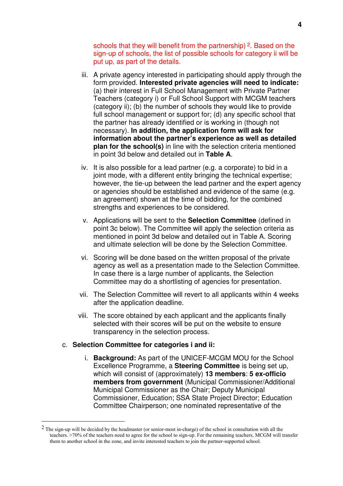schools that they will benefit from the partnership) <sup>2</sup>. Based on the sign-up of schools, the list of possible schools for category ii will be put up, as part of the details.

- iii. A private agency interested in participating should apply through the form provided. **Interested private agencies will need to indicate:** (a) their interest in Full School Management with Private Partner Teachers (category i) or Full School Support with MCGM teachers (category ii); (b) the number of schools they would like to provide full school management or support for; (d) any specific school that the partner has already identified or is working in (though not necessary). **In addition, the application form will ask for information about the partner's experience as well as detailed plan for the school(s)** in line with the selection criteria mentioned in point 3d below and detailed out in **Table A**.
- iv. It is also possible for a lead partner (e.g. a corporate) to bid in a joint mode, with a different entity bringing the technical expertise; however, the tie-up between the lead partner and the expert agency or agencies should be established and evidence of the same (e.g. an agreement) shown at the time of bidding, for the combined strengths and experiences to be considered.
- v. Applications will be sent to the **Selection Committee** (defined in point 3c below). The Committee will apply the selection criteria as mentioned in point 3d below and detailed out in Table A. Scoring and ultimate selection will be done by the Selection Committee.
- vi. Scoring will be done based on the written proposal of the private agency as well as a presentation made to the Selection Committee. In case there is a large number of applicants, the Selection Committee may do a shortlisting of agencies for presentation.
- vii. The Selection Committee will revert to all applicants within 4 weeks after the application deadline.
- viii. The score obtained by each applicant and the applicants finally selected with their scores will be put on the website to ensure transparency in the selection process.

#### c. **Selection Committee for categories i and ii:**

 $\overline{a}$ 

i. **Background:** As part of the UNICEF-MCGM MOU for the School Excellence Programme, a **Steering Committee** is being set up, which will consist of (approximately) **13 members**: **5 ex-officio members from government** (Municipal Commissioner/Additional Municipal Commissioner as the Chair; Deputy Municipal Commissioner, Education; SSA State Project Director; Education Committee Chairperson; one nominated representative of the

<sup>2</sup> The sign-up will be decided by the headmaster (or senior-most in-charge) of the school in consultation with all the teachers. >70% of the teachers need to agree for the school to sign-up. For the remaining teachers, MCGM will transfer them to another school in the zone, and invite interested teachers to join the partner-supported school.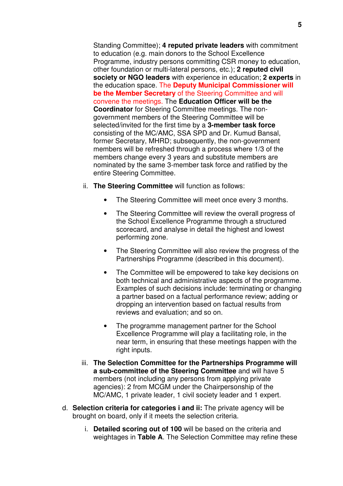Standing Committee); **4 reputed private leaders** with commitment to education (e.g. main donors to the School Excellence Programme, industry persons committing CSR money to education, other foundation or multi-lateral persons, etc.); **2 reputed civil society or NGO leaders** with experience in education; **2 experts** in the education space. The **Deputy Municipal Commissioner will be the Member Secretary** of the Steering Committee and will convene the meetings. The **Education Officer will be the Coordinator** for Steering Committee meetings. The nongovernment members of the Steering Committee will be selected/invited for the first time by a **3-member task force** consisting of the MC/AMC, SSA SPD and Dr. Kumud Bansal, former Secretary, MHRD; subsequently, the non-government members will be refreshed through a process where 1/3 of the members change every 3 years and substitute members are nominated by the same 3-member task force and ratified by the entire Steering Committee.

- ii. **The Steering Committee** will function as follows:
	- The Steering Committee will meet once every 3 months.
	- The Steering Committee will review the overall progress of the School Excellence Programme through a structured scorecard, and analyse in detail the highest and lowest performing zone.
	- The Steering Committee will also review the progress of the Partnerships Programme (described in this document).
	- The Committee will be empowered to take key decisions on both technical and administrative aspects of the programme. Examples of such decisions include: terminating or changing a partner based on a factual performance review; adding or dropping an intervention based on factual results from reviews and evaluation; and so on.
	- The programme management partner for the School Excellence Programme will play a facilitating role, in the near term, in ensuring that these meetings happen with the right inputs.
- iii. **The Selection Committee for the Partnerships Programme will a sub-committee of the Steering Committee** and will have 5 members (not including any persons from applying private agencies): 2 from MCGM under the Chairpersonship of the MC/AMC, 1 private leader, 1 civil society leader and 1 expert.
- d. **Selection criteria for categories i and ii:** The private agency will be brought on board, only if it meets the selection criteria.
	- i. **Detailed scoring out of 100** will be based on the criteria and weightages in **Table A**. The Selection Committee may refine these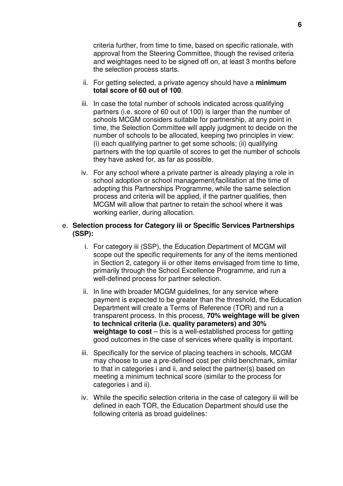criteria further, from time to time, based on specific rationale, with approval from the Steering Committee, though the revised criteria and weightages need to be signed off on, at least 3 months before the selection process starts.

- ii. For getting selected, a private agency should have a **minimum total score of 60 out of 100**.
- iii. In case the total number of schools indicated across qualifying partners (i.e. score of 60 out of 100) is larger than the number of schools MCGM considers suitable for partnership, at any point in time, the Selection Committee will apply judgment to decide on the number of schools to be allocated, keeping two principles in view: (i) each qualifying partner to get some schools; (ii) qualifying partners with the top quartile of scores to get the number of schools they have asked for, as far as possible.
- iv. For any school where a private partner is already playing a role in school adoption or school management/facilitation at the time of adopting this Partnerships Programme, while the same selection process and criteria will be applied, if the partner qualifies, then MCGM will allow that partner to retain the school where it was working earlier, during allocation.

#### e. **Selection process for Category iii or Specific Services Partnerships (SSP):**

- i. For category iii (SSP), the Education Department of MCGM will scope out the specific requirements for any of the items mentioned in Section 2, category iii or other items envisaged from time to time, primarily through the School Excellence Programme, and run a well-defined process for partner selection.
- ii. In line with broader MCGM guidelines, for any service where payment is expected to be greater than the threshold, the Education Department will create a Terms of Reference (TOR) and run a transparent process. In this process, **70% weightage will be given to technical criteria (i.e. quality parameters) and 30% weightage to cost** – this is a well-established process for getting good outcomes in the case of services where quality is important.
- iii. Specifically for the service of placing teachers in schools, MCGM may choose to use a pre-defined cost per child benchmark, similar to that in categories i and ii, and select the partner(s) based on meeting a minimum technical score (similar to the process for categories i and ii).
- iv. While the specific selection criteria in the case of category iii will be defined in each TOR, the Education Department should use the following criteria as broad guidelines: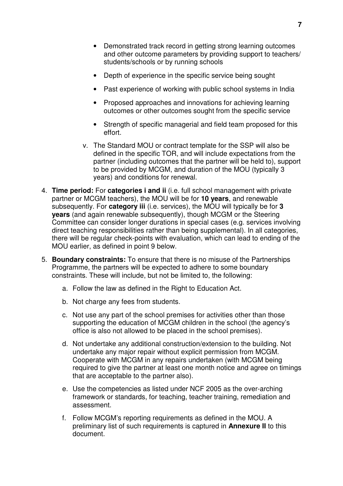- Demonstrated track record in getting strong learning outcomes and other outcome parameters by providing support to teachers/ students/schools or by running schools
- Depth of experience in the specific service being sought
- Past experience of working with public school systems in India
- Proposed approaches and innovations for achieving learning outcomes or other outcomes sought from the specific service
- Strength of specific managerial and field team proposed for this effort.
- v. The Standard MOU or contract template for the SSP will also be defined in the specific TOR, and will include expectations from the partner (including outcomes that the partner will be held to), support to be provided by MCGM, and duration of the MOU (typically 3 years) and conditions for renewal.
- 4. **Time period:** For **categories i and ii** (i.e. full school management with private partner or MCGM teachers), the MOU will be for **10 years**, and renewable subsequently. For **category iii** (i.e. services), the MOU will typically be for **3 years** (and again renewable subsequently), though MCGM or the Steering Committee can consider longer durations in special cases (e.g. services involving direct teaching responsibilities rather than being supplemental). In all categories, there will be regular check-points with evaluation, which can lead to ending of the MOU earlier, as defined in point 9 below.
- 5. **Boundary constraints:** To ensure that there is no misuse of the Partnerships Programme, the partners will be expected to adhere to some boundary constraints. These will include, but not be limited to, the following:
	- a. Follow the law as defined in the Right to Education Act.
	- b. Not charge any fees from students.
	- c. Not use any part of the school premises for activities other than those supporting the education of MCGM children in the school (the agency's office is also not allowed to be placed in the school premises).
	- d. Not undertake any additional construction/extension to the building. Not undertake any major repair without explicit permission from MCGM. Cooperate with MCGM in any repairs undertaken (with MCGM being required to give the partner at least one month notice and agree on timings that are acceptable to the partner also).
	- e. Use the competencies as listed under NCF 2005 as the over-arching framework or standards, for teaching, teacher training, remediation and assessment.
	- f. Follow MCGM's reporting requirements as defined in the MOU. A preliminary list of such requirements is captured in **Annexure II** to this document.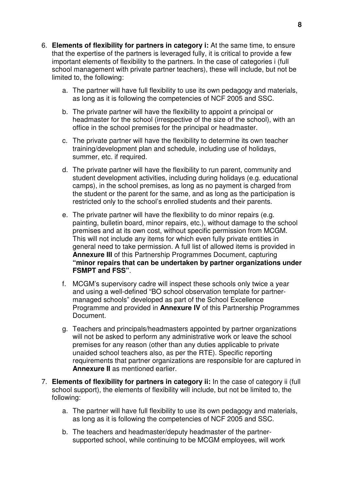- 6. **Elements of flexibility for partners in category i:** At the same time, to ensure that the expertise of the partners is leveraged fully, it is critical to provide a few important elements of flexibility to the partners. In the case of categories i (full school management with private partner teachers), these will include, but not be limited to, the following:
	- a. The partner will have full flexibility to use its own pedagogy and materials, as long as it is following the competencies of NCF 2005 and SSC.
	- b. The private partner will have the flexibility to appoint a principal or headmaster for the school (irrespective of the size of the school), with an office in the school premises for the principal or headmaster.
	- c. The private partner will have the flexibility to determine its own teacher training/development plan and schedule, including use of holidays, summer, etc. if required.
	- d. The private partner will have the flexibility to run parent, community and student development activities, including during holidays (e.g. educational camps), in the school premises, as long as no payment is charged from the student or the parent for the same, and as long as the participation is restricted only to the school's enrolled students and their parents.
	- e. The private partner will have the flexibility to do minor repairs (e.g. painting, bulletin board, minor repairs, etc.), without damage to the school premises and at its own cost, without specific permission from MCGM. This will not include any items for which even fully private entities in general need to take permission. A full list of allowed items is provided in **Annexure III** of this Partnership Programmes Document, capturing **"minor repairs that can be undertaken by partner organizations under FSMPT and FSS"**.
	- f. MCGM's supervisory cadre will inspect these schools only twice a year and using a well-defined "BO school observation template for partnermanaged schools" developed as part of the School Excellence Programme and provided in **Annexure IV** of this Partnership Programmes Document.
	- g. Teachers and principals/headmasters appointed by partner organizations will not be asked to perform any administrative work or leave the school premises for any reason (other than any duties applicable to private unaided school teachers also, as per the RTE). Specific reporting requirements that partner organizations are responsible for are captured in **Annexure II** as mentioned earlier.
- 7. **Elements of flexibility for partners in category ii:** In the case of category ii (full school support), the elements of flexibility will include, but not be limited to, the following:
	- a. The partner will have full flexibility to use its own pedagogy and materials, as long as it is following the competencies of NCF 2005 and SSC.
	- b. The teachers and headmaster/deputy headmaster of the partnersupported school, while continuing to be MCGM employees, will work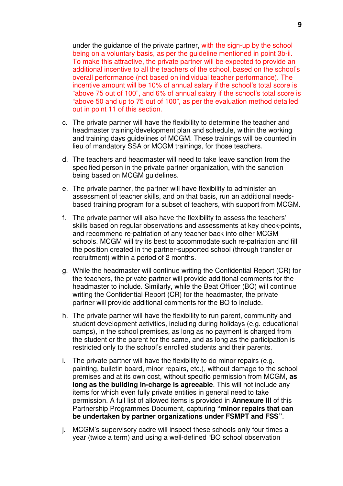under the guidance of the private partner, with the sign-up by the school being on a voluntary basis, as per the guideline mentioned in point 3b-ii. To make this attractive, the private partner will be expected to provide an additional incentive to all the teachers of the school, based on the school's overall performance (not based on individual teacher performance). The incentive amount will be 10% of annual salary if the school's total score is "above 75 out of 100", and 6% of annual salary if the school's total score is "above 50 and up to 75 out of 100", as per the evaluation method detailed out in point 11 of this section.

- c. The private partner will have the flexibility to determine the teacher and headmaster training/development plan and schedule, within the working and training days guidelines of MCGM. These trainings will be counted in lieu of mandatory SSA or MCGM trainings, for those teachers.
- d. The teachers and headmaster will need to take leave sanction from the specified person in the private partner organization, with the sanction being based on MCGM guidelines.
- e. The private partner, the partner will have flexibility to administer an assessment of teacher skills, and on that basis, run an additional needsbased training program for a subset of teachers, with support from MCGM.
- f. The private partner will also have the flexibility to assess the teachers' skills based on regular observations and assessments at key check-points, and recommend re-patriation of any teacher back into other MCGM schools. MCGM will try its best to accommodate such re-patriation and fill the position created in the partner-supported school (through transfer or recruitment) within a period of 2 months.
- g. While the headmaster will continue writing the Confidential Report (CR) for the teachers, the private partner will provide additional comments for the headmaster to include. Similarly, while the Beat Officer (BO) will continue writing the Confidential Report (CR) for the headmaster, the private partner will provide additional comments for the BO to include.
- h. The private partner will have the flexibility to run parent, community and student development activities, including during holidays (e.g. educational camps), in the school premises, as long as no payment is charged from the student or the parent for the same, and as long as the participation is restricted only to the school's enrolled students and their parents.
- i. The private partner will have the flexibility to do minor repairs (e.g. painting, bulletin board, minor repairs, etc.), without damage to the school premises and at its own cost, without specific permission from MCGM, **as long as the building in-charge is agreeable**. This will not include any items for which even fully private entities in general need to take permission. A full list of allowed items is provided in **Annexure III** of this Partnership Programmes Document, capturing **"minor repairs that can be undertaken by partner organizations under FSMPT and FSS"**.
- j. MCGM's supervisory cadre will inspect these schools only four times a year (twice a term) and using a well-defined "BO school observation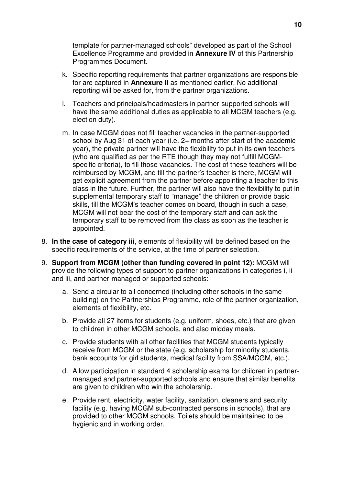template for partner-managed schools" developed as part of the School Excellence Programme and provided in **Annexure IV** of this Partnership Programmes Document.

- k. Specific reporting requirements that partner organizations are responsible for are captured in **Annexure II** as mentioned earlier. No additional reporting will be asked for, from the partner organizations.
- l. Teachers and principals/headmasters in partner-supported schools will have the same additional duties as applicable to all MCGM teachers (e.g. election duty).
- m. In case MCGM does not fill teacher vacancies in the partner-supported school by Aug 31 of each year (i.e. 2+ months after start of the academic year), the private partner will have the flexibility to put in its own teachers (who are qualified as per the RTE though they may not fulfill MCGMspecific criteria), to fill those vacancies. The cost of these teachers will be reimbursed by MCGM, and till the partner's teacher is there, MCGM will get explicit agreement from the partner before appointing a teacher to this class in the future. Further, the partner will also have the flexibility to put in supplemental temporary staff to "manage" the children or provide basic skills, till the MCGM's teacher comes on board, though in such a case, MCGM will not bear the cost of the temporary staff and can ask the temporary staff to be removed from the class as soon as the teacher is appointed.
- 8. **In the case of category iii**, elements of flexibility will be defined based on the specific requirements of the service, at the time of partner selection.
- 9. **Support from MCGM (other than funding covered in point 12):** MCGM will provide the following types of support to partner organizations in categories i, ii and iii, and partner-managed or supported schools:
	- a. Send a circular to all concerned (including other schools in the same building) on the Partnerships Programme, role of the partner organization, elements of flexibility, etc.
	- b. Provide all 27 items for students (e.g. uniform, shoes, etc.) that are given to children in other MCGM schools, and also midday meals.
	- c. Provide students with all other facilities that MCGM students typically receive from MCGM or the state (e.g. scholarship for minority students, bank accounts for girl students, medical facility from SSA/MCGM, etc.).
	- d. Allow participation in standard 4 scholarship exams for children in partnermanaged and partner-supported schools and ensure that similar benefits are given to children who win the scholarship.
	- e. Provide rent, electricity, water facility, sanitation, cleaners and security facility (e.g. having MCGM sub-contracted persons in schools), that are provided to other MCGM schools. Toilets should be maintained to be hygienic and in working order.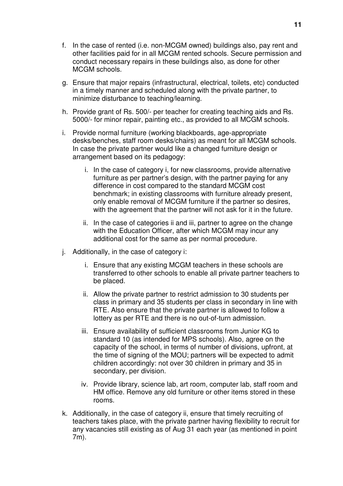- f. In the case of rented (i.e. non-MCGM owned) buildings also, pay rent and other facilities paid for in all MCGM rented schools. Secure permission and conduct necessary repairs in these buildings also, as done for other MCGM schools.
- g. Ensure that major repairs (infrastructural, electrical, toilets, etc) conducted in a timely manner and scheduled along with the private partner, to minimize disturbance to teaching/learning.
- h. Provide grant of Rs. 500/- per teacher for creating teaching aids and Rs. 5000/- for minor repair, painting etc., as provided to all MCGM schools.
- i. Provide normal furniture (working blackboards, age-appropriate desks/benches, staff room desks/chairs) as meant for all MCGM schools. In case the private partner would like a changed furniture design or arrangement based on its pedagogy:
	- i. In the case of category i, for new classrooms, provide alternative furniture as per partner's design, with the partner paying for any difference in cost compared to the standard MCGM cost benchmark; in existing classrooms with furniture already present, only enable removal of MCGM furniture if the partner so desires, with the agreement that the partner will not ask for it in the future.
	- ii. In the case of categories ii and iii, partner to agree on the change with the Education Officer, after which MCGM may incur any additional cost for the same as per normal procedure.
- j. Additionally, in the case of category i:
	- i. Ensure that any existing MCGM teachers in these schools are transferred to other schools to enable all private partner teachers to be placed.
	- ii. Allow the private partner to restrict admission to 30 students per class in primary and 35 students per class in secondary in line with RTE. Also ensure that the private partner is allowed to follow a lottery as per RTE and there is no out-of-turn admission.
	- iii. Ensure availability of sufficient classrooms from Junior KG to standard 10 (as intended for MPS schools). Also, agree on the capacity of the school, in terms of number of divisions, upfront, at the time of signing of the MOU; partners will be expected to admit children accordingly: not over 30 children in primary and 35 in secondary, per division.
	- iv. Provide library, science lab, art room, computer lab, staff room and HM office. Remove any old furniture or other items stored in these rooms.
- k. Additionally, in the case of category ii, ensure that timely recruiting of teachers takes place, with the private partner having flexibility to recruit for any vacancies still existing as of Aug 31 each year (as mentioned in point 7m).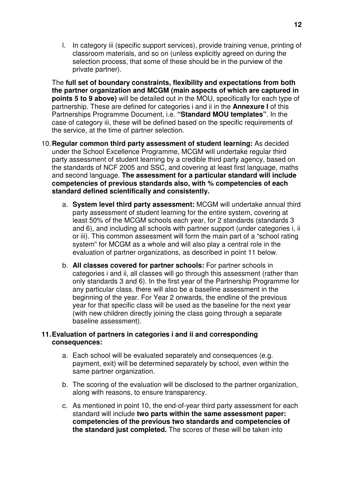l. In category iii (specific support services), provide training venue, printing of classroom materials, and so on (unless explicitly agreed on during the selection process, that some of these should be in the purview of the private partner).

The **full set of boundary constraints, flexibility and expectations from both the partner organization and MCGM (main aspects of which are captured in points 5 to 9 above)** will be detailed out in the MOU, specifically for each type of partnership. These are defined for categories i and ii in the **Annexure I** of this Partnerships Programme Document, i.e. **"Standard MOU templates"**. In the case of category iii, these will be defined based on the specific requirements of the service, at the time of partner selection.

- 10. **Regular common third party assessment of student learning:** As decided under the School Excellence Programme, MCGM will undertake regular third party assessment of student learning by a credible third party agency, based on the standards of NCF 2005 and SSC, and covering at least first language, maths and second language. **The assessment for a particular standard will include competencies of previous standards also, with % competencies of each standard defined scientifically and consistently.**
	- a. **System level third party assessment:** MCGM will undertake annual third party assessment of student learning for the entire system, covering at least 50% of the MCGM schools each year, for 2 standards (standards 3 and 6), and including all schools with partner support (under categories i, ii or iii). This common assessment will form the main part of a "school rating system" for MCGM as a whole and will also play a central role in the evaluation of partner organizations, as described in point 11 below.
	- b. **All classes covered for partner schools:** For partner schools in categories i and ii, all classes will go through this assessment (rather than only standards 3 and 6). In the first year of the Partnership Programme for any particular class, there will also be a baseline assessment in the beginning of the year. For Year 2 onwards, the endline of the previous year for that specific class will be used as the baseline for the next year (with new children directly joining the class going through a separate baseline assessment).

#### **11. Evaluation of partners in categories i and ii and corresponding consequences:**

- a. Each school will be evaluated separately and consequences (e.g. payment, exit) will be determined separately by school, even within the same partner organization.
- b. The scoring of the evaluation will be disclosed to the partner organization, along with reasons, to ensure transparency.
- c. As mentioned in point 10, the end-of-year third party assessment for each standard will include **two parts within the same assessment paper: competencies of the previous two standards and competencies of the standard just completed.** The scores of these will be taken into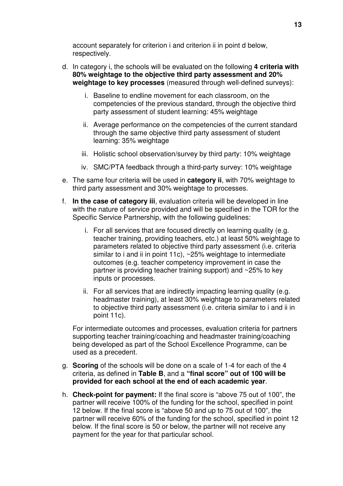account separately for criterion i and criterion ii in point d below, respectively.

- d. In category i, the schools will be evaluated on the following **4 criteria with 80% weightage to the objective third party assessment and 20% weightage to key processes** (measured through well-defined surveys):
	- i. Baseline to endline movement for each classroom, on the competencies of the previous standard, through the objective third party assessment of student learning: 45% weightage
	- ii. Average performance on the competencies of the current standard through the same objective third party assessment of student learning: 35% weightage
	- iii. Holistic school observation/survey by third party: 10% weightage
	- iv. SMC/PTA feedback through a third-party survey: 10% weightage
- e. The same four criteria will be used in **category ii**, with 70% weightage to third party assessment and 30% weightage to processes.
- f. **In the case of category iii**, evaluation criteria will be developed in line with the nature of service provided and will be specified in the TOR for the Specific Service Partnership, with the following guidelines:
	- i. For all services that are focused directly on learning quality (e.g. teacher training, providing teachers, etc.) at least 50% weightage to parameters related to objective third party assessment (i.e. criteria similar to i and ii in point 11c), ~25% weightage to intermediate outcomes (e.g. teacher competency improvement in case the partner is providing teacher training support) and ~25% to key inputs or processes.
	- ii. For all services that are indirectly impacting learning quality (e.g. headmaster training), at least 30% weightage to parameters related to objective third party assessment (i.e. criteria similar to i and ii in point 11c).

For intermediate outcomes and processes, evaluation criteria for partners supporting teacher training/coaching and headmaster training/coaching being developed as part of the School Excellence Programme, can be used as a precedent.

- g. **Scoring** of the schools will be done on a scale of 1-4 for each of the 4 criteria, as defined in **Table B**, and a **"final score" out of 100 will be provided for each school at the end of each academic year**.
- h. **Check-point for payment:** If the final score is "above 75 out of 100", the partner will receive 100% of the funding for the school, specified in point 12 below. If the final score is "above 50 and up to 75 out of 100", the partner will receive 60% of the funding for the school, specified in point 12 below. If the final score is 50 or below, the partner will not receive any payment for the year for that particular school.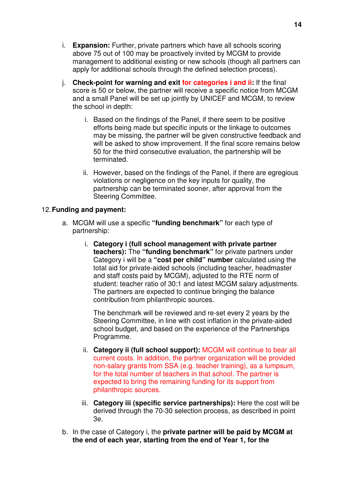- i. **Expansion:** Further, private partners which have all schools scoring above 75 out of 100 may be proactively invited by MCGM to provide management to additional existing or new schools (though all partners can apply for additional schools through the defined selection process).
- j. **Check-point for warning and exit for categories i and ii:** If the final score is 50 or below, the partner will receive a specific notice from MCGM and a small Panel will be set up jointly by UNICEF and MCGM, to review the school in depth:
	- i. Based on the findings of the Panel, if there seem to be positive efforts being made but specific inputs or the linkage to outcomes may be missing, the partner will be given constructive feedback and will be asked to show improvement. If the final score remains below 50 for the third consecutive evaluation, the partnership will be terminated.
	- ii. However, based on the findings of the Panel, if there are egregious violations or negligence on the key inputs for quality, the partnership can be terminated sooner, after approval from the Steering Committee.

#### 12. **Funding and payment:**

- a. MCGM will use a specific **"funding benchmark"** for each type of partnership:
	- i. **Category i (full school management with private partner teachers):** The **"funding benchmark"** for private partners under Category i will be a **"cost per child" number** calculated using the total aid for private-aided schools (including teacher, headmaster and staff costs paid by MCGM), adjusted to the RTE norm of student: teacher ratio of 30:1 and latest MCGM salary adjustments. The partners are expected to continue bringing the balance contribution from philanthropic sources.

The benchmark will be reviewed and re-set every 2 years by the Steering Committee, in line with cost inflation in the private-aided school budget, and based on the experience of the Partnerships Programme.

- ii. **Category ii (full school support):** MCGM will continue to bear all current costs. In addition, the partner organization will be provided non-salary grants from SSA (e.g. teacher training), as a lumpsum, for the total number of teachers in that school. The partner is expected to bring the remaining funding for its support from philanthropic sources.
- iii. **Category iii (specific service partnerships):** Here the cost will be derived through the 70-30 selection process, as described in point 3e.
- b. In the case of Category i, the **private partner will be paid by MCGM at the end of each year, starting from the end of Year 1, for the**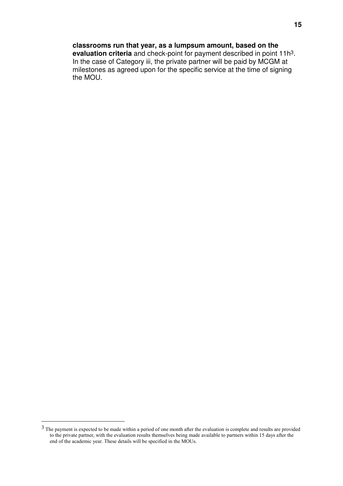# **classrooms run that year, as a lumpsum amount, based on the**

**evaluation criteria** and check-point for payment described in point 11h3. In the case of Category iii, the private partner will be paid by MCGM at milestones as agreed upon for the specific service at the time of signing the MOU.

 $\overline{a}$ 

 $3$  The payment is expected to be made within a period of one month after the evaluation is complete and results are provided to the private partner, with the evaluation results themselves being made available to partners within 15 days after the end of the academic year. These details will be specified in the MOUs.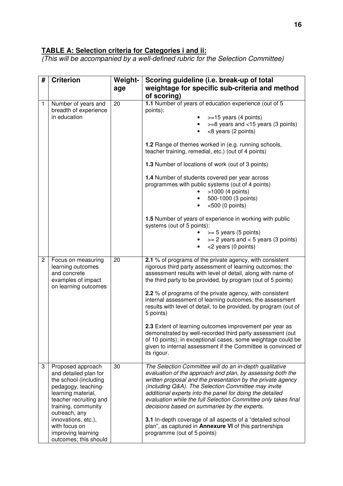### **TABLE A: Selection criteria for Categories i and ii:**

(This will be accompanied by a well-defined rubric for the Selection Committee)

| #            | <b>Criterion</b>                                                                                                                                                                   | <b>Weight-</b><br>age | Scoring guideline (i.e. break-up of total<br>weightage for specific sub-criteria and method<br>of scoring)                                                                                                                                                                                                                                                                                                                |  |  |  |
|--------------|------------------------------------------------------------------------------------------------------------------------------------------------------------------------------------|-----------------------|---------------------------------------------------------------------------------------------------------------------------------------------------------------------------------------------------------------------------------------------------------------------------------------------------------------------------------------------------------------------------------------------------------------------------|--|--|--|
| 1            | Number of years and<br>breadth of experience<br>in education                                                                                                                       | 20                    | 1.1 Number of years of education experience (out of 5<br>points):<br>$>=15$ years (4 points)<br>>=8 years and <15 years (3 points)<br><8 years (2 points)                                                                                                                                                                                                                                                                 |  |  |  |
|              |                                                                                                                                                                                    |                       | 1.2 Range of themes worked in (e.g. running schools,<br>teacher training, remedial, etc.) (out of 4 points)                                                                                                                                                                                                                                                                                                               |  |  |  |
|              |                                                                                                                                                                                    |                       | 1.3 Number of locations of work (out of 3 points)                                                                                                                                                                                                                                                                                                                                                                         |  |  |  |
|              |                                                                                                                                                                                    |                       | 1.4 Number of students covered per year across<br>programmes with public systems (out of 4 points)<br>>1000 (4 points)<br>500-1000 (3 points)<br>$<$ 500 (0 points)                                                                                                                                                                                                                                                       |  |  |  |
|              |                                                                                                                                                                                    |                       | 1.5 Number of years of experience in working with public<br>systems (out of 5 points):<br>$>= 5$ years (5 points)<br>$>= 2$ years and $< 5$ years (3 points)<br><2 years (0 points)                                                                                                                                                                                                                                       |  |  |  |
| $\mathbf{2}$ | Focus on measuring<br>learning outcomes<br>and concrete<br>examples of impact<br>on learning outcomes                                                                              | 20                    | 2.1 % of programs of the private agency, with consistent<br>rigorous third party assessment of learning outcomes; the<br>assessment results with level of detail, along with name of<br>the third party to be provided, by program (out of 5 points)<br>2.2 % of programs of the private agency, with consistent<br>internal assessment of learning outcomes; the assessment                                              |  |  |  |
|              |                                                                                                                                                                                    |                       | results with level of detail, to be provided, by program (out of<br>5 points)                                                                                                                                                                                                                                                                                                                                             |  |  |  |
|              |                                                                                                                                                                                    |                       | 2.3 Extent of learning outcomes improvement per year as<br>demonstrated by well-recorded third party assessment (out<br>of 10 points); in exceptional cases, some weightage could be<br>given to internal assessment if the Committee is convinced of<br>its rigour.                                                                                                                                                      |  |  |  |
| 3            | Proposed approach<br>and detailed plan for<br>the school (including<br>pedagogy, teaching-<br>learning material,<br>teacher recruiting and<br>training, community<br>outreach, any | 30                    | The Selection Committee will do an in-depth qualitative<br>evaluation of the approach and plan, by assessing both the<br>written proposal and the presentation by the private agency<br>(including Q&A). The Selection Committee may invite<br>additional experts into the panel for doing the detailed<br>evaluation while the full Selection Committee only takes final<br>decisions based on summaries by the experts. |  |  |  |
|              | innovations, etc.),<br>with focus on<br>improving learning<br>outcomes; this should                                                                                                |                       | 3.1 In-depth coverage of all aspects of a "detailed school<br>plan", as captured in <b>Annexure VI</b> of this partnerships<br>programme (out of 5 points)                                                                                                                                                                                                                                                                |  |  |  |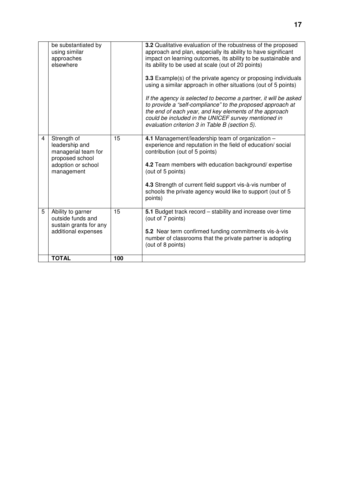|   | be substantiated by<br>using similar<br>approaches<br>elsewhere                                             |     | 3.2 Qualitative evaluation of the robustness of the proposed<br>approach and plan, especially its ability to have significant<br>impact on learning outcomes, its ability to be sustainable and<br>its ability to be used at scale (out of 20 points)<br>3.3 Example(s) of the private agency or proposing individuals<br>using a similar approach in other situations (out of 5 points)<br>If the agency is selected to become a partner, it will be asked<br>to provide a "self-compliance" to the proposed approach at<br>the end of each year, and key elements of the approach<br>could be included in the UNICEF survey mentioned in<br>evaluation criterion 3 in Table B (section 5). |
|---|-------------------------------------------------------------------------------------------------------------|-----|----------------------------------------------------------------------------------------------------------------------------------------------------------------------------------------------------------------------------------------------------------------------------------------------------------------------------------------------------------------------------------------------------------------------------------------------------------------------------------------------------------------------------------------------------------------------------------------------------------------------------------------------------------------------------------------------|
| 4 | Strength of<br>leadership and<br>managerial team for<br>proposed school<br>adoption or school<br>management | 15  | 4.1 Management/leadership team of organization -<br>experience and reputation in the field of education/ social<br>contribution (out of 5 points)<br>4.2 Team members with education background/expertise<br>(out of 5 points)<br>4.3 Strength of current field support vis-à-vis number of<br>schools the private agency would like to support (out of 5<br>points)                                                                                                                                                                                                                                                                                                                         |
| 5 | Ability to garner<br>outside funds and<br>sustain grants for any<br>additional expenses                     | 15  | 5.1 Budget track record - stability and increase over time<br>(out of 7 points)<br>5.2 Near term confirmed funding commitments vis-à-vis<br>number of classrooms that the private partner is adopting<br>(out of 8 points)                                                                                                                                                                                                                                                                                                                                                                                                                                                                   |
|   | <b>TOTAL</b>                                                                                                | 100 |                                                                                                                                                                                                                                                                                                                                                                                                                                                                                                                                                                                                                                                                                              |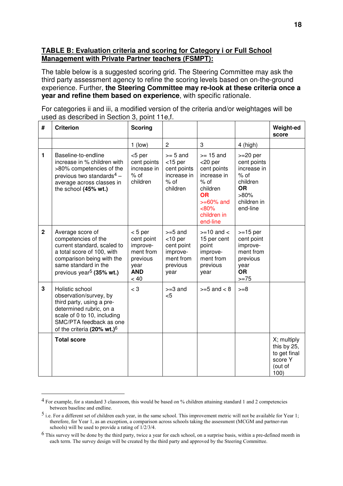### **TABLE B: Evaluation criteria and scoring for Category i or Full School Management with Private Partner teachers (FSMPT):**

The table below is a suggested scoring grid. The Steering Committee may ask the third party assessment agency to refine the scoring levels based on on-the-ground experience. Further, **the Steering Committee may re-look at these criteria once a year and refine them based on experience**, with specific rationale.

For categories ii and iii, a modified version of the criteria and/or weightages will be used as described in Section 3, point 11e,f.

| #            | <b>Criterion</b>                                                                                                                                                                                      | <b>Scoring</b>                                                                             |                                                                                     |                                                                                                                                                    |                                                                                                                   | Weight-ed<br>score                                                       |
|--------------|-------------------------------------------------------------------------------------------------------------------------------------------------------------------------------------------------------|--------------------------------------------------------------------------------------------|-------------------------------------------------------------------------------------|----------------------------------------------------------------------------------------------------------------------------------------------------|-------------------------------------------------------------------------------------------------------------------|--------------------------------------------------------------------------|
|              |                                                                                                                                                                                                       | $1$ (low)                                                                                  | $\overline{c}$                                                                      | 3                                                                                                                                                  | $4$ (high)                                                                                                        |                                                                          |
| 1            | Baseline-to-endline<br>increase in % children with<br>>80% competencies of the<br>previous two standards <sup>4</sup> –<br>average across classes in<br>the school (45% wt.)                          | <5 per<br>cent points<br>increase in<br>$%$ of<br>children                                 | $>= 5$ and<br>$<$ 15 per<br>cent points<br>increase in<br>$%$ of<br>children        | $>= 15$ and<br>$<$ 20 per<br>cent points<br>increase in<br>$%$ of<br>children<br><b>OR</b><br>$>= 60\%$ and<br>$< 80\%$<br>children in<br>end-line | $>=20$ per<br>cent points<br>increase in<br>$%$ of<br>children<br><b>OR</b><br>$>80\%$<br>children in<br>end-line |                                                                          |
| $\mathbf{2}$ | Average score of<br>competencies of the<br>current standard, scaled to<br>a total score of 100, with<br>comparison being with the<br>same standard in the<br>previous year <sup>5</sup> (35% wt.)     | $< 5$ per<br>cent point<br>improve-<br>ment from<br>previous<br>year<br><b>AND</b><br>< 40 | $>= 5$ and<br>$<$ 10 per<br>cent point<br>improve-<br>ment from<br>previous<br>year | $>= 10$ and $<$<br>15 per cent<br>point<br>improve-<br>ment from<br>previous<br>year                                                               | $>=15$ per<br>cent point<br>improve-<br>ment from<br>previous<br>year<br><b>OR</b><br>$>= 75$                     |                                                                          |
| 3            | Holistic school<br>observation/survey, by<br>third party, using a pre-<br>determined rubric, on a<br>scale of 0 to 10, including<br>SMC/PTA feedback as one<br>of the criteria (20% wt.) <sup>6</sup> | $<$ 3                                                                                      | $>=3$ and<br>$5$                                                                    | $>=5$ and $< 8$                                                                                                                                    | $>= 8$                                                                                                            |                                                                          |
|              | <b>Total score</b>                                                                                                                                                                                    |                                                                                            |                                                                                     |                                                                                                                                                    |                                                                                                                   | X; multiply<br>this by 25,<br>to get final<br>score Y<br>(out of<br>100) |

<sup>4</sup> For example, for a standard 3 classroom, this would be based on % children attaining standard 1 and 2 competencies between baseline and endline.

 $\overline{a}$ 

<sup>5</sup> i.e. For a different set of children each year, in the same school. This improvement metric will not be available for Year 1; therefore, for Year 1, as an exception, a comparison across schools taking the assessment (MCGM and partner-run schools) will be used to provide a rating of 1/2/3/4.

<sup>6</sup> This survey will be done by the third party, twice a year for each school, on a surprise basis, within a pre-defined month in each term. The survey design will be created by the third party and approved by the Steering Committee.